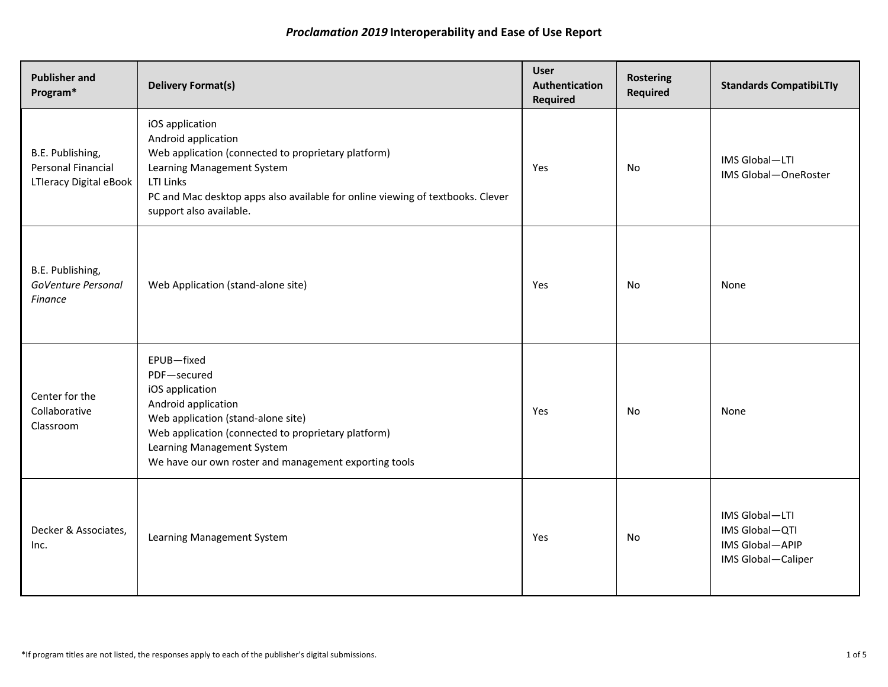| <b>Publisher and</b><br>Program*                                 | <b>Delivery Format(s)</b>                                                                                                                                                                                                                                    | <b>User</b><br>Authentication<br>Required | <b>Rostering</b><br>Required | <b>Standards CompatibiLTly</b>                                            |
|------------------------------------------------------------------|--------------------------------------------------------------------------------------------------------------------------------------------------------------------------------------------------------------------------------------------------------------|-------------------------------------------|------------------------------|---------------------------------------------------------------------------|
| B.E. Publishing,<br>Personal Financial<br>LTIeracy Digital eBook | iOS application<br>Android application<br>Web application (connected to proprietary platform)<br>Learning Management System<br><b>LTI Links</b><br>PC and Mac desktop apps also available for online viewing of textbooks. Clever<br>support also available. | Yes                                       | No                           | IMS Global-LTI<br>IMS Global-OneRoster                                    |
| B.E. Publishing,<br>GoVenture Personal<br><b>Finance</b>         | Web Application (stand-alone site)                                                                                                                                                                                                                           | Yes                                       | No                           | None                                                                      |
| Center for the<br>Collaborative<br>Classroom                     | EPUB-fixed<br>PDF-secured<br>iOS application<br>Android application<br>Web application (stand-alone site)<br>Web application (connected to proprietary platform)<br>Learning Management System<br>We have our own roster and management exporting tools      | Yes                                       | No                           | None                                                                      |
| Decker & Associates,<br>Inc.                                     | Learning Management System                                                                                                                                                                                                                                   | Yes                                       | No                           | IMS Global-LTI<br>IMS Global-QTI<br>IMS Global-APIP<br>IMS Global-Caliper |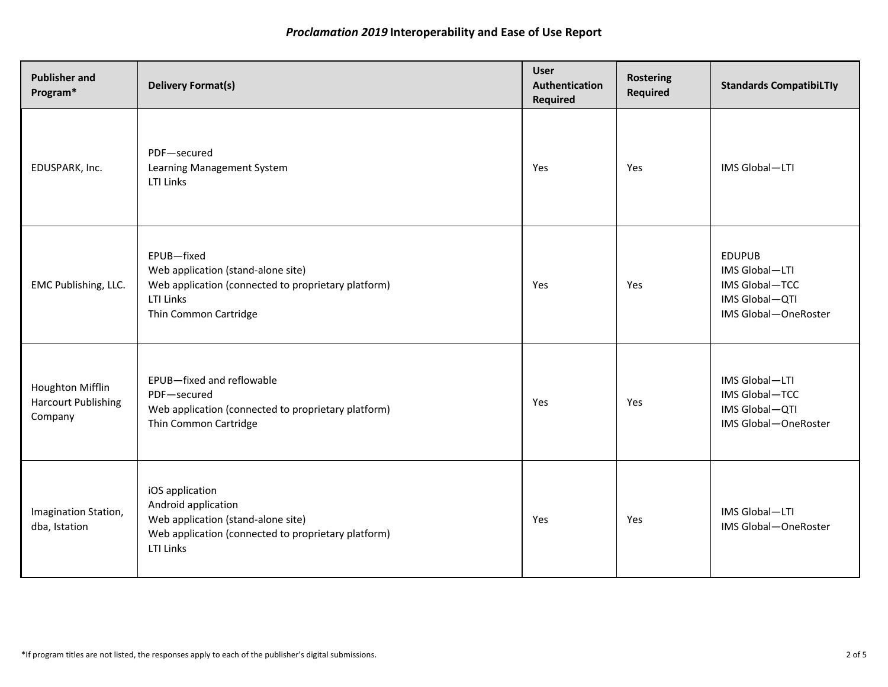| <b>Publisher and</b><br>Program*                          | <b>Delivery Format(s)</b>                                                                                                                               | <b>User</b><br>Authentication<br><b>Required</b> | <b>Rostering</b><br>Required | <b>Standards CompatibiLTly</b>                                                              |
|-----------------------------------------------------------|---------------------------------------------------------------------------------------------------------------------------------------------------------|--------------------------------------------------|------------------------------|---------------------------------------------------------------------------------------------|
| EDUSPARK, Inc.                                            | PDF-secured<br>Learning Management System<br>LTI Links                                                                                                  | Yes                                              | Yes                          | IMS Global-LTI                                                                              |
| EMC Publishing, LLC.                                      | EPUB-fixed<br>Web application (stand-alone site)<br>Web application (connected to proprietary platform)<br>LTI Links<br>Thin Common Cartridge           | Yes                                              | Yes                          | <b>EDUPUB</b><br>IMS Global-LTI<br>IMS Global-TCC<br>IMS Global-QTI<br>IMS Global-OneRoster |
| Houghton Mifflin<br><b>Harcourt Publishing</b><br>Company | EPUB-fixed and reflowable<br>PDF-secured<br>Web application (connected to proprietary platform)<br>Thin Common Cartridge                                | Yes                                              | Yes                          | IMS Global-LTI<br>IMS Global-TCC<br>IMS Global-QTI<br>IMS Global-OneRoster                  |
| Imagination Station,<br>dba, Istation                     | iOS application<br>Android application<br>Web application (stand-alone site)<br>Web application (connected to proprietary platform)<br><b>LTI Links</b> | Yes                                              | Yes                          | IMS Global-LTI<br>IMS Global-OneRoster                                                      |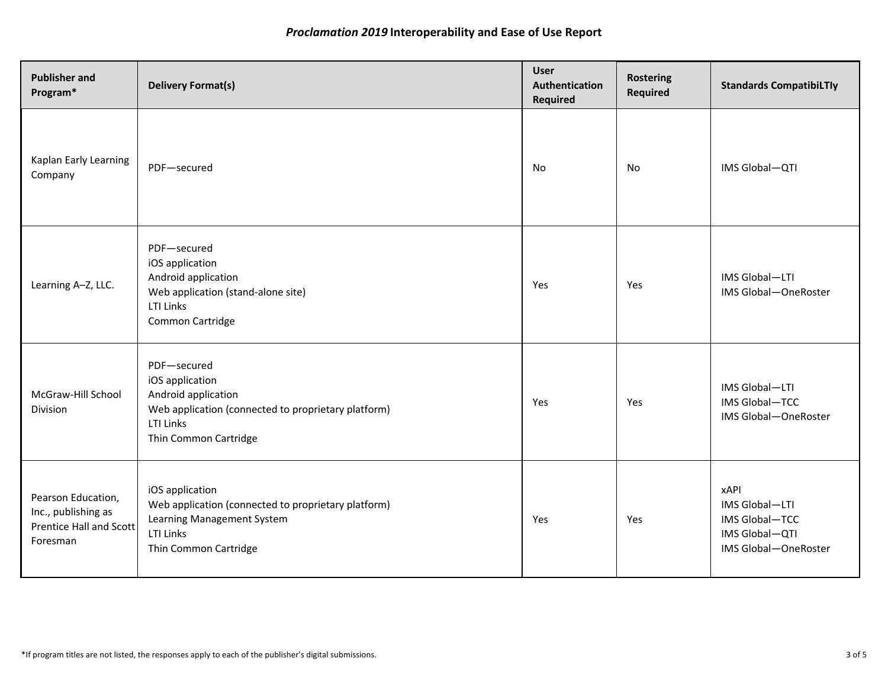| <b>Publisher and</b><br>Program*                                                 | <b>Delivery Format(s)</b>                                                                                                                          | <b>User</b><br>Authentication<br>Required | <b>Rostering</b><br>Required | <b>Standards CompatibiLTly</b>                                                            |
|----------------------------------------------------------------------------------|----------------------------------------------------------------------------------------------------------------------------------------------------|-------------------------------------------|------------------------------|-------------------------------------------------------------------------------------------|
| Kaplan Early Learning<br>Company                                                 | PDF-secured                                                                                                                                        | No                                        | No                           | IMS Global-QTI                                                                            |
| Learning A-Z, LLC.                                                               | PDF-secured<br>iOS application<br>Android application<br>Web application (stand-alone site)<br>LTI Links<br>Common Cartridge                       | Yes                                       | Yes                          | IMS Global-LTI<br>IMS Global-OneRoster                                                    |
| McGraw-Hill School<br>Division                                                   | PDF-secured<br>iOS application<br>Android application<br>Web application (connected to proprietary platform)<br>LTI Links<br>Thin Common Cartridge | Yes                                       | Yes                          | IMS Global-LTI<br>IMS Global-TCC<br>IMS Global-OneRoster                                  |
| Pearson Education,<br>Inc., publishing as<br>Prentice Hall and Scott<br>Foresman | iOS application<br>Web application (connected to proprietary platform)<br>Learning Management System<br>LTI Links<br>Thin Common Cartridge         | Yes                                       | Yes                          | <b>xAPI</b><br>IMS Global-LTI<br>IMS Global-TCC<br>IMS Global-QTI<br>IMS Global-OneRoster |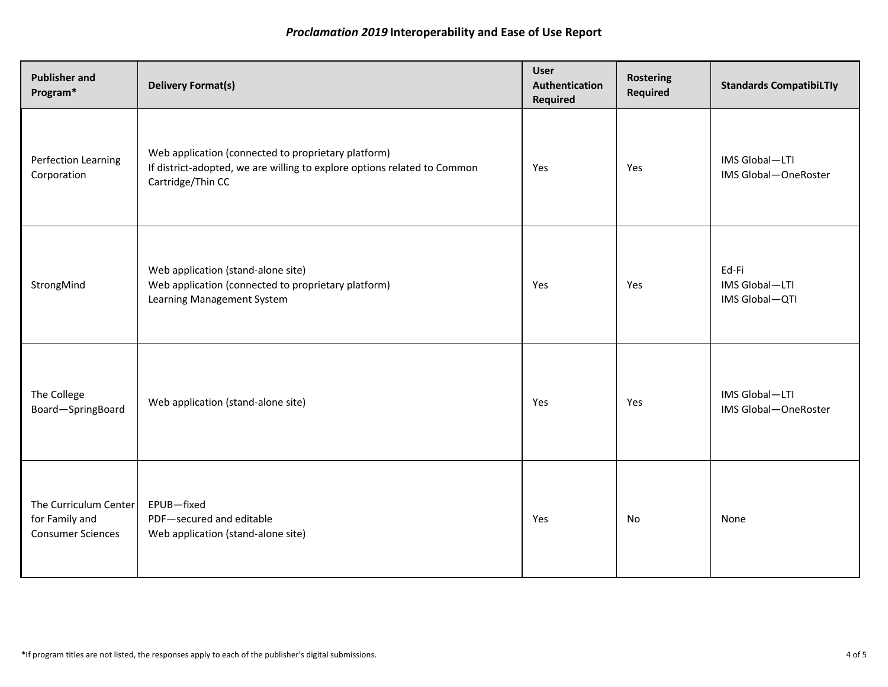| <b>Publisher and</b><br>Program*                                    | <b>Delivery Format(s)</b>                                                                                                                            | <b>User</b><br>Authentication<br>Required | <b>Rostering</b><br><b>Required</b> | <b>Standards CompatibiLTly</b>            |
|---------------------------------------------------------------------|------------------------------------------------------------------------------------------------------------------------------------------------------|-------------------------------------------|-------------------------------------|-------------------------------------------|
| Perfection Learning<br>Corporation                                  | Web application (connected to proprietary platform)<br>If district-adopted, we are willing to explore options related to Common<br>Cartridge/Thin CC | Yes                                       | Yes                                 | IMS Global-LTI<br>IMS Global-OneRoster    |
| StrongMind                                                          | Web application (stand-alone site)<br>Web application (connected to proprietary platform)<br>Learning Management System                              | Yes                                       | Yes                                 | Ed-Fi<br>IMS Global-LTI<br>IMS Global-QTI |
| The College<br>Board-SpringBoard                                    | Web application (stand-alone site)                                                                                                                   | Yes                                       | Yes                                 | IMS Global-LTI<br>IMS Global-OneRoster    |
| The Curriculum Center<br>for Family and<br><b>Consumer Sciences</b> | EPUB-fixed<br>PDF-secured and editable<br>Web application (stand-alone site)                                                                         | Yes                                       | No                                  | None                                      |